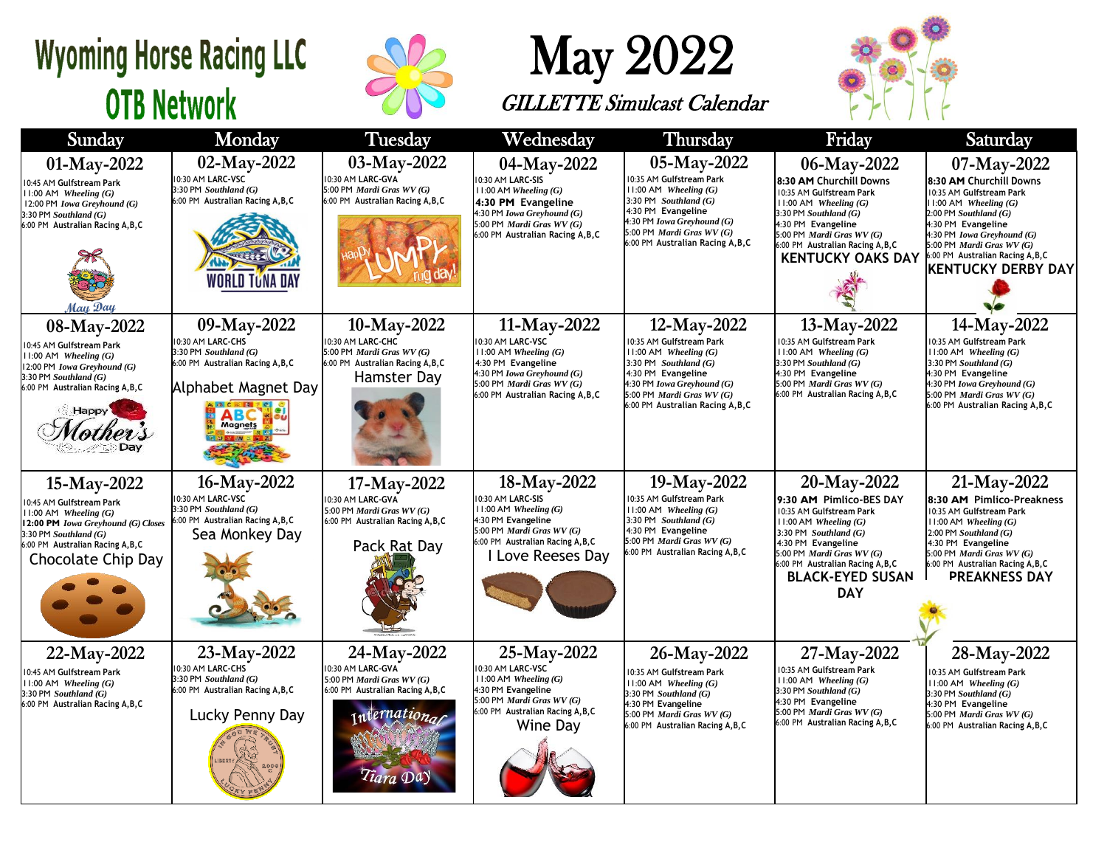## **Wyoming Horse Racing LLC OTB Network**



## May 2022

GILLETTE Simulcast Calendar



| Sunday                                                                                                                                                                                             | Monday                                                                                                                           | <b>Tuesday</b>                                                                                                                  | Wednesday                                                                                                                                                                           | <b>Thursday</b>                                                                                                                                                                                                    | Friday                                                                                                                                                                                                                                                              | Saturday                                                                                                                                                                                                                                                                        |  |
|----------------------------------------------------------------------------------------------------------------------------------------------------------------------------------------------------|----------------------------------------------------------------------------------------------------------------------------------|---------------------------------------------------------------------------------------------------------------------------------|-------------------------------------------------------------------------------------------------------------------------------------------------------------------------------------|--------------------------------------------------------------------------------------------------------------------------------------------------------------------------------------------------------------------|---------------------------------------------------------------------------------------------------------------------------------------------------------------------------------------------------------------------------------------------------------------------|---------------------------------------------------------------------------------------------------------------------------------------------------------------------------------------------------------------------------------------------------------------------------------|--|
| 01-May-2022<br>10:45 AM Gulfstream Park<br>$11:00$ AM Wheeling $(G)$<br>12:00 PM Iowa Greyhound (G)<br>$3:30$ PM Southland $(G)$<br>6:00 PM Australian Racing A, B, C<br>May Day                   | 02-May-2022<br>10:30 AM LARC-VSC<br>3:30 PM Southland (G)<br>6:00 PM Australian Racing A, B, C<br><b>WORLD TUNA DAY</b>          | 03-May-2022<br>10:30 AM LARC-GVA<br>5:00 PM Mardi Gras WV (G)<br>6:00 PM Australian Racing A, B, C                              | 04-May-2022<br>10:30 AM LARC-SIS<br>11:00 AM Wheeling (G)<br>4:30 PM Evangeline<br>4:30 PM Iowa Greyhound (G)<br>5:00 PM Mardi Gras WV (G)<br>6:00 PM Australian Racing A, B, C     | 05-May-2022<br>0:35 AM Gulfstream Park<br>$11:00$ AM Wheeling $(G)$<br>3:30 PM Southland $(G)$<br>4:30 PM Evangeline<br>4:30 PM Iowa Greyhound (G)<br>5:00 PM Mardi Gras WV (G)<br>6:00 PM Australian Racing A,B,C | 06-May-2022<br>8:30 AM Churchill Downs<br>10:35 AM Gulfstream Park<br>$11:00$ AM Wheeling $(G)$<br>3:30 PM Southland (G)<br>4:30 PM Evangeline<br>5:00 PM Mardi Gras WV (G)<br>:00 PM Australian Racing A, B, C<br><b>KENTUCKY OAKS DAY</b>                         | 07-May-2022<br>8:30 AM Churchill Downs<br>10:35 AM Gulfstream Park<br>$11:00$ AM Wheeling $(G)$<br>$2:00$ PM Southland $(G)$<br>4:30 PM Evangeline<br>4:30 PM Iowa Greyhound (G)<br>5:00 PM Mardi Gras WV (G)<br>6:00 PM Australian Racing A, B, C<br><b>KENTUCKY DERBY DAY</b> |  |
| 08-May-2022<br>10:45 AM Gulfstream Park<br>$11:00$ AM Wheeling $(G)$<br>12:00 PM Iowa Greyhound (G)<br>$3:30$ PM Southland $(G)$<br>6:00 PM Australian Racing A, B, C<br><b>Happy</b>              | 09-May-2022<br>10:30 AM LARC-CHS<br>3:30 PM Southland (G)<br>6:00 PM Australian Racing A, B, C<br>Alphabet Magnet Day<br>Magnets | 10-May-2022<br>10:30 AM LARC-CHC<br>5:00 PM Mardi Gras WV (G)<br>6:00 PM Australian Racing A, B, C<br>Hamster Day               | 11-May-2022<br>10:30 AM LARC-VSC<br>$11:00$ AM Wheeling $(G)$<br>4:30 PM Evangeline<br>4:30 PM Iowa Greyhound (G)<br>5:00 PM Mardi Gras WV (G)<br>6:00 PM Australian Racing A, B, C | 12-May-2022<br>0:35 AM Gulfstream Park<br>$11:00$ AM Wheeling $(G)$<br>3:30 PM Southland $(G)$<br>4:30 PM Evangeline<br>4:30 PM Iowa Greyhound (G)<br>5:00 PM Mardi Gras WV (G)<br>6:00 PM Australian Racing A,B,C | 13-May-2022<br>10:35 AM Gulfstream Park<br>$11:00$ AM Wheeling $(G)$<br>$3:30$ PM Southland $(G)$<br>4:30 PM Evangeline<br>5:00 PM Mardi Gras WV (G)<br>6:00 PM Australian Racing A, B, C                                                                           | 14-May-2022<br>0:35 AM Gulfstream Park<br>$11:00$ AM Wheeling $(G)$<br>3:30 PM Southland $(G)$<br>4:30 PM Evangeline<br>4:30 PM Iowa Greyhound (G)<br>5:00 PM Mardi Gras WV (G)<br>6:00 PM Australian Racing A, B, C                                                            |  |
| 15-May-2022<br>10:45 AM Gulfstream Park<br>$11:00$ AM Wheeling $(G)$<br>12:00 PM Iowa Greyhound (G) Closes<br>$3:30$ PM Southland $(G)$<br>6:00 PM Australian Racing A, B, C<br>Chocolate Chip Day | 16-May-2022<br>10:30 AM LARC-VSC<br>3:30 PM Southland (G)<br>6:00 PM Australian Racing A, B, C<br>Sea Monkey Day                 | 17-May-2022<br>10:30 AM LARC-GVA<br>5:00 PM Mardi Gras WV (G)<br>6:00 PM Australian Racing A, B, C<br>Pack Rat Day              | 18-May-2022<br>0:30 AM LARC-SIS<br>$11:00$ AM Wheeling $(G)$<br>4:30 PM Evangeline<br>5:00 PM Mardi Gras WV (G)<br>6:00 PM Australian Racing A, B, C<br>I Love Reeses Day           | 19-May-2022<br>0:35 AM Gulfstream Park<br>$11:00$ AM Wheeling $(G)$<br>$3:30$ PM Southland $(G)$<br>4:30 PM Evangeline<br>5:00 PM Mardi Gras WV (G)<br>6:00 PM Australian Racing A, B, C                           | 20-May-2022<br>9:30 AM Pimlico-BES DAY<br>10:35 AM Gulfstream Park<br>$11:00$ AM Wheeling $(G)$<br>3:30 PM $Southland(G)$<br>4:30 PM Evangeline<br>5:00 PM <i>Mardi Gras WV</i> $(G)$<br>6:00 PM Australian Racing A, B, C<br><b>BLACK-EYED SUSAN</b><br><b>DAY</b> | 21-May-2022<br>8:30 AM Pimlico-Preakness<br>10:35 AM Gulfstream Park<br>$11:00$ AM Wheeling $(G)$<br>$2:00$ PM Southland $(G)$<br>4:30 PM Evangeline<br>5:00 PM Mardi Gras WV (G)<br>6:00 PM Australian Racing A, B, C<br><b>PREAKNESS DAY</b>                                  |  |
| 22-May-2022<br>10:45 AM Gulfstream Park<br>11:00 AM Wheeling $(G)$<br>$3:30$ PM Southland $(G)$<br>6:00 PM Australian Racing A, B, C                                                               | 23-May-2022<br>10:30 AM LARC-CHS<br>3:30 PM Southland (G)<br>6:00 PM Australian Racing A, B, C<br>Lucky Penny Day                | 24-May-2022<br>10:30 AM LARC-GVA<br>5:00 PM Mardi Gras WV (G)<br>6:00 PM Australian Racing A, B, C<br>international<br>Tiara Da | 25-May-2022<br>10:30 AM LARC-VSC<br>$11:00$ AM Wheeling $(G)$<br>4:30 PM Evangeline<br>5:00 PM Mardi Gras WV (G)<br>6:00 PM Australian Racing A, B, C<br>Wine Day                   | 26-May-2022<br>0:35 AM Gulfstream Park<br>$11:00$ AM Wheeling $(G)$<br>3:30 PM Southland (G)<br>4:30 PM Evangeline<br>5:00 PM Mardi Gras WV (G)<br>6:00 PM Australian Racing A, B, C                               | 27-May-2022<br>0:35 AM Gulfstream Park<br>$11:00$ AM Wheeling $(G)$<br>$3:30$ PM Southland $(G)$<br>4:30 PM Evangeline<br>5:00 PM Mardi Gras WV (G)<br>6:00 PM Australian Racing A, B, C                                                                            | 28-May-2022<br>0:35 AM Gulfstream Park<br>$11:00$ AM Wheeling $(G)$<br>$3:30$ PM Southland $(G)$<br>4:30 PM Evangeline<br>5:00 PM Mardi Gras WV (G)<br>6:00 PM Australian Racing A, B, C                                                                                        |  |